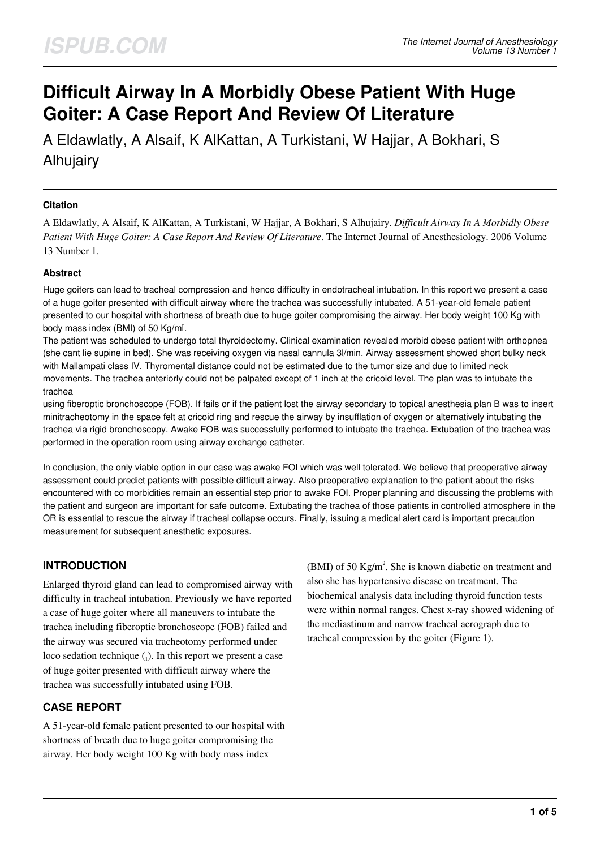# **Difficult Airway In A Morbidly Obese Patient With Huge Goiter: A Case Report And Review Of Literature**

A Eldawlatly, A Alsaif, K AlKattan, A Turkistani, W Hajjar, A Bokhari, S Alhujairy

## **Citation**

A Eldawlatly, A Alsaif, K AlKattan, A Turkistani, W Hajjar, A Bokhari, S Alhujairy. *Difficult Airway In A Morbidly Obese Patient With Huge Goiter: A Case Report And Review Of Literature*. The Internet Journal of Anesthesiology. 2006 Volume 13 Number 1.

## **Abstract**

Huge goiters can lead to tracheal compression and hence difficulty in endotracheal intubation. In this report we present a case of a huge goiter presented with difficult airway where the trachea was successfully intubated. A 51-year-old female patient presented to our hospital with shortness of breath due to huge goiter compromising the airway. Her body weight 100 Kg with body mass index (BMI) of 50 Kg/ml.

The patient was scheduled to undergo total thyroidectomy. Clinical examination revealed morbid obese patient with orthopnea (she cant lie supine in bed). She was receiving oxygen via nasal cannula 3l/min. Airway assessment showed short bulky neck with Mallampati class IV. Thyromental distance could not be estimated due to the tumor size and due to limited neck movements. The trachea anteriorly could not be palpated except of 1 inch at the cricoid level. The plan was to intubate the trachea

using fiberoptic bronchoscope (FOB). If fails or if the patient lost the airway secondary to topical anesthesia plan B was to insert minitracheotomy in the space felt at cricoid ring and rescue the airway by insufflation of oxygen or alternatively intubating the trachea via rigid bronchoscopy. Awake FOB was successfully performed to intubate the trachea. Extubation of the trachea was performed in the operation room using airway exchange catheter.

In conclusion, the only viable option in our case was awake FOI which was well tolerated. We believe that preoperative airway assessment could predict patients with possible difficult airway. Also preoperative explanation to the patient about the risks encountered with co morbidities remain an essential step prior to awake FOI. Proper planning and discussing the problems with the patient and surgeon are important for safe outcome. Extubating the trachea of those patients in controlled atmosphere in the OR is essential to rescue the airway if tracheal collapse occurs. Finally, issuing a medical alert card is important precaution measurement for subsequent anesthetic exposures.

# **INTRODUCTION**

Enlarged thyroid gland can lead to compromised airway with difficulty in tracheal intubation. Previously we have reported a case of huge goiter where all maneuvers to intubate the trachea including fiberoptic bronchoscope (FOB) failed and the airway was secured via tracheotomy performed under loco sedation technique  $_{1}$ ). In this report we present a case of huge goiter presented with difficult airway where the trachea was successfully intubated using FOB.

## **CASE REPORT**

A 51-year-old female patient presented to our hospital with shortness of breath due to huge goiter compromising the airway. Her body weight 100 Kg with body mass index

(BMI) of 50 Kg/m<sup>2</sup>. She is known diabetic on treatment and also she has hypertensive disease on treatment. The biochemical analysis data including thyroid function tests were within normal ranges. Chest x-ray showed widening of the mediastinum and narrow tracheal aerograph due to tracheal compression by the goiter (Figure 1).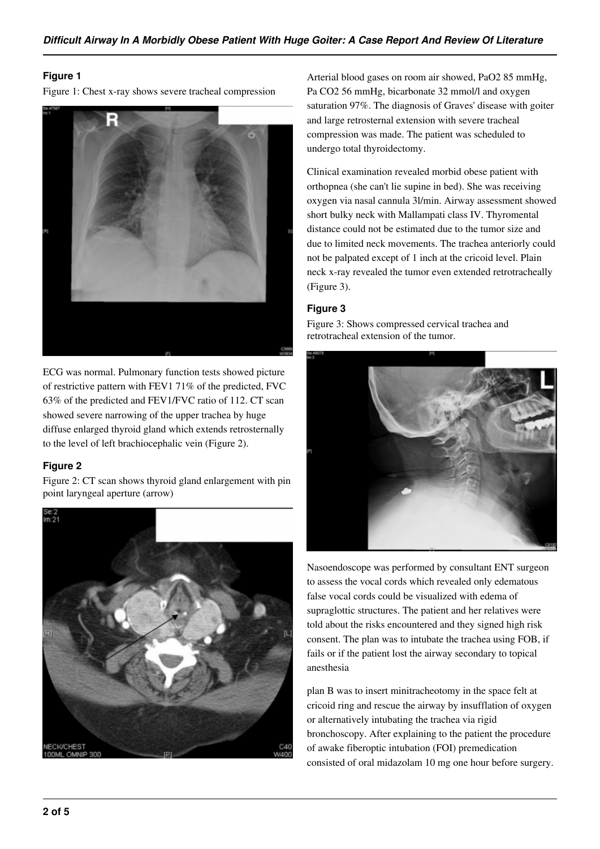## **Figure 1**

Figure 1: Chest x-ray shows severe tracheal compression



ECG was normal. Pulmonary function tests showed picture of restrictive pattern with FEV1 71% of the predicted, FVC 63% of the predicted and FEV1/FVC ratio of 112. CT scan showed severe narrowing of the upper trachea by huge diffuse enlarged thyroid gland which extends retrosternally to the level of left brachiocephalic vein (Figure 2).

## **Figure 2**

Figure 2: CT scan shows thyroid gland enlargement with pin point laryngeal aperture (arrow)



Arterial blood gases on room air showed, PaO2 85 mmHg, Pa CO2 56 mmHg, bicarbonate 32 mmol/l and oxygen saturation 97%. The diagnosis of Graves' disease with goiter and large retrosternal extension with severe tracheal compression was made. The patient was scheduled to undergo total thyroidectomy.

Clinical examination revealed morbid obese patient with orthopnea (she can't lie supine in bed). She was receiving oxygen via nasal cannula 3l/min. Airway assessment showed short bulky neck with Mallampati class IV. Thyromental distance could not be estimated due to the tumor size and due to limited neck movements. The trachea anteriorly could not be palpated except of 1 inch at the cricoid level. Plain neck x-ray revealed the tumor even extended retrotracheally (Figure 3).

## **Figure 3**

Figure 3: Shows compressed cervical trachea and retrotracheal extension of the tumor.



Nasoendoscope was performed by consultant ENT surgeon to assess the vocal cords which revealed only edematous false vocal cords could be visualized with edema of supraglottic structures. The patient and her relatives were told about the risks encountered and they signed high risk consent. The plan was to intubate the trachea using FOB, if fails or if the patient lost the airway secondary to topical anesthesia

plan B was to insert minitracheotomy in the space felt at cricoid ring and rescue the airway by insufflation of oxygen or alternatively intubating the trachea via rigid bronchoscopy. After explaining to the patient the procedure of awake fiberoptic intubation (FOI) premedication consisted of oral midazolam 10 mg one hour before surgery.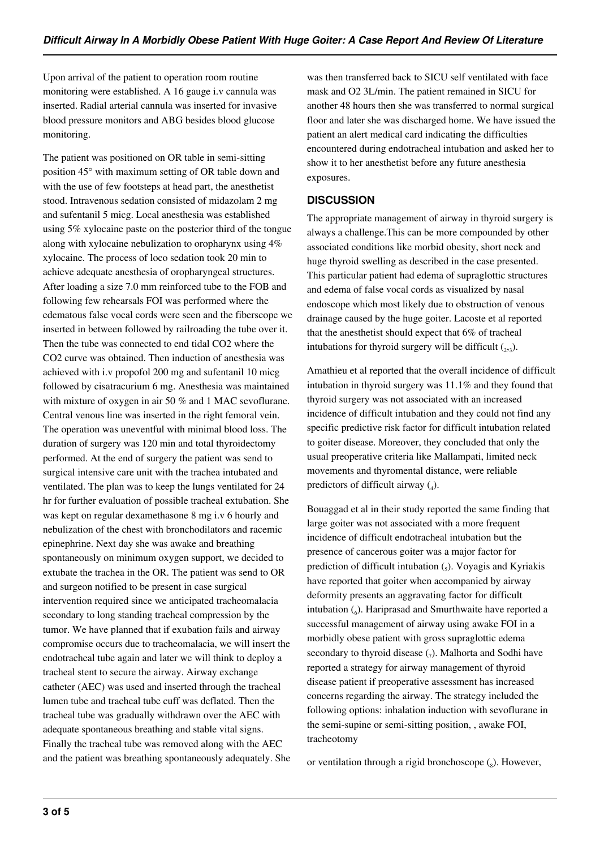Upon arrival of the patient to operation room routine monitoring were established. A 16 gauge i.v cannula was inserted. Radial arterial cannula was inserted for invasive blood pressure monitors and ABG besides blood glucose monitoring.

The patient was positioned on OR table in semi-sitting position 45° with maximum setting of OR table down and with the use of few footsteps at head part, the anesthetist stood. Intravenous sedation consisted of midazolam 2 mg and sufentanil 5 micg. Local anesthesia was established using 5% xylocaine paste on the posterior third of the tongue along with xylocaine nebulization to oropharynx using 4% xylocaine. The process of loco sedation took 20 min to achieve adequate anesthesia of oropharyngeal structures. After loading a size 7.0 mm reinforced tube to the FOB and following few rehearsals FOI was performed where the edematous false vocal cords were seen and the fiberscope we inserted in between followed by railroading the tube over it. Then the tube was connected to end tidal CO2 where the CO2 curve was obtained. Then induction of anesthesia was achieved with i.v propofol 200 mg and sufentanil 10 micg followed by cisatracurium 6 mg. Anesthesia was maintained with mixture of oxygen in air 50 % and 1 MAC sevoflurane. Central venous line was inserted in the right femoral vein. The operation was uneventful with minimal blood loss. The duration of surgery was 120 min and total thyroidectomy performed. At the end of surgery the patient was send to surgical intensive care unit with the trachea intubated and ventilated. The plan was to keep the lungs ventilated for 24 hr for further evaluation of possible tracheal extubation. She was kept on regular dexamethasone 8 mg i.v 6 hourly and nebulization of the chest with bronchodilators and racemic epinephrine. Next day she was awake and breathing spontaneously on minimum oxygen support, we decided to extubate the trachea in the OR. The patient was send to OR and surgeon notified to be present in case surgical intervention required since we anticipated tracheomalacia secondary to long standing tracheal compression by the tumor. We have planned that if exubation fails and airway compromise occurs due to tracheomalacia, we will insert the endotracheal tube again and later we will think to deploy a tracheal stent to secure the airway. Airway exchange catheter (AEC) was used and inserted through the tracheal lumen tube and tracheal tube cuff was deflated. Then the tracheal tube was gradually withdrawn over the AEC with adequate spontaneous breathing and stable vital signs. Finally the tracheal tube was removed along with the AEC and the patient was breathing spontaneously adequately. She

was then transferred back to SICU self ventilated with face mask and O2 3L/min. The patient remained in SICU for another 48 hours then she was transferred to normal surgical floor and later she was discharged home. We have issued the patient an alert medical card indicating the difficulties encountered during endotracheal intubation and asked her to show it to her anesthetist before any future anesthesia exposures.

## **DISCUSSION**

The appropriate management of airway in thyroid surgery is always a challenge.This can be more compounded by other associated conditions like morbid obesity, short neck and huge thyroid swelling as described in the case presented. This particular patient had edema of supraglottic structures and edema of false vocal cords as visualized by nasal endoscope which most likely due to obstruction of venous drainage caused by the huge goiter. Lacoste et al reported that the anesthetist should expect that 6% of tracheal intubations for thyroid surgery will be difficult  $(_{2,3})$ .

Amathieu et al reported that the overall incidence of difficult intubation in thyroid surgery was 11.1% and they found that thyroid surgery was not associated with an increased incidence of difficult intubation and they could not find any specific predictive risk factor for difficult intubation related to goiter disease. Moreover, they concluded that only the usual preoperative criteria like Mallampati, limited neck movements and thyromental distance, were reliable predictors of difficult airway  $(_{4})$ .

Bouaggad et al in their study reported the same finding that large goiter was not associated with a more frequent incidence of difficult endotracheal intubation but the presence of cancerous goiter was a major factor for prediction of difficult intubation  $(_{5}$ ). Voyagis and Kyriakis have reported that goiter when accompanied by airway deformity presents an aggravating factor for difficult intubation (6). Hariprasad and Smurthwaite have reported a successful management of airway using awake FOI in a morbidly obese patient with gross supraglottic edema secondary to thyroid disease  $(7)$ . Malhorta and Sodhi have reported a strategy for airway management of thyroid disease patient if preoperative assessment has increased concerns regarding the airway. The strategy included the following options: inhalation induction with sevoflurane in the semi-supine or semi-sitting position, , awake FOI, tracheotomy

or ventilation through a rigid bronchoscope  $\binom{8}{8}$ . However,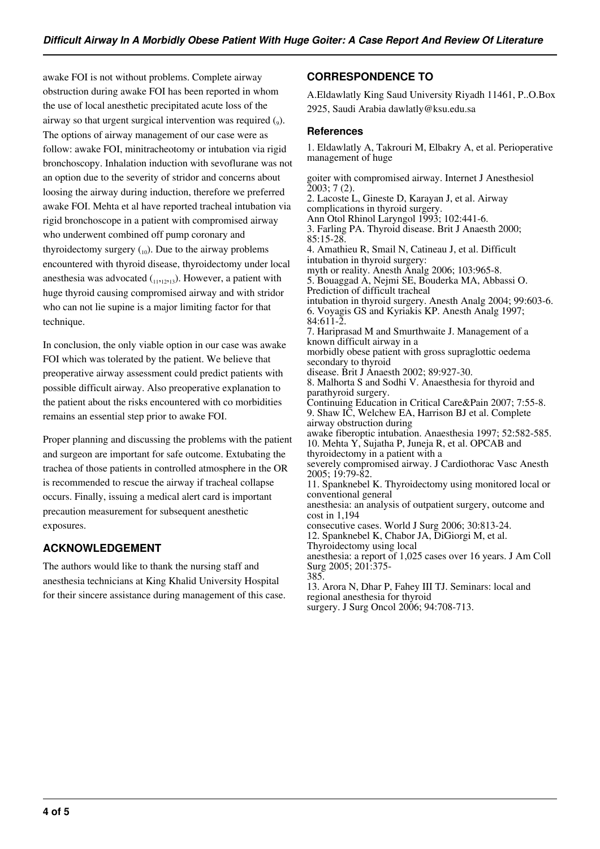awake FOI is not without problems. Complete airway obstruction during awake FOI has been reported in whom the use of local anesthetic precipitated acute loss of the airway so that urgent surgical intervention was required  $(_{9})$ . The options of airway management of our case were as follow: awake FOI, minitracheotomy or intubation via rigid bronchoscopy. Inhalation induction with sevoflurane was not an option due to the severity of stridor and concerns about loosing the airway during induction, therefore we preferred awake FOI. Mehta et al have reported tracheal intubation via rigid bronchoscope in a patient with compromised airway who underwent combined off pump coronary and thyroidectomy surgery  $_{(10)}$ . Due to the airway problems encountered with thyroid disease, thyroidectomy under local anesthesia was advocated  $(1,1,1,2,1,3)$ . However, a patient with huge thyroid causing compromised airway and with stridor who can not lie supine is a major limiting factor for that technique.

In conclusion, the only viable option in our case was awake FOI which was tolerated by the patient. We believe that preoperative airway assessment could predict patients with possible difficult airway. Also preoperative explanation to the patient about the risks encountered with co morbidities remains an essential step prior to awake FOI.

Proper planning and discussing the problems with the patient and surgeon are important for safe outcome. Extubating the trachea of those patients in controlled atmosphere in the OR is recommended to rescue the airway if tracheal collapse occurs. Finally, issuing a medical alert card is important precaution measurement for subsequent anesthetic exposures.

# **ACKNOWLEDGEMENT**

The authors would like to thank the nursing staff and anesthesia technicians at King Khalid University Hospital for their sincere assistance during management of this case.

# **CORRESPONDENCE TO**

A.Eldawlatly King Saud University Riyadh 11461, P..O.Box 2925, Saudi Arabia dawlatly@ksu.edu.sa

## **References**

1. Eldawlatly A, Takrouri M, Elbakry A, et al. Perioperative management of huge

goiter with compromised airway. Internet J Anesthesiol 2003; 7 (2). 2. Lacoste L, Gineste D, Karayan J, et al. Airway complications in thyroid surgery. Ann Otol Rhinol Laryngol 1993; 102:441-6. 3. Farling PA. Thyroid disease. Brit J Anaesth 2000; 85:15-28. 4. Amathieu R, Smail N, Catineau J, et al. Difficult intubation in thyroid surgery: myth or reality. Anesth Analg 2006; 103:965-8. 5. Bouaggad A, Nejmi SE, Bouderka MA, Abbassi O. Prediction of difficult tracheal intubation in thyroid surgery. Anesth Analg 2004; 99:603-6. 6. Voyagis GS and Kyriakis KP. Anesth Analg 1997; 84:611-2. 7. Hariprasad M and Smurthwaite J. Management of a known difficult airway in a morbidly obese patient with gross supraglottic oedema secondary to thyroid disease. Brit J Anaesth 2002; 89:927-30. 8. Malhorta S and Sodhi V. Anaesthesia for thyroid and parathyroid surgery. Continuing Education in Critical Care&Pain 2007; 7:55-8. 9. Shaw IC, Welchew EA, Harrison BJ et al. Complete airway obstruction during awake fiberoptic intubation. Anaesthesia 1997; 52:582-585. 10. Mehta Y, Sujatha P, Juneja R, et al. OPCAB and thyroidectomy in a patient with a severely compromised airway. J Cardiothorac Vasc Anesth 2005; 19:79-82. 11. Spanknebel K. Thyroidectomy using monitored local or conventional general anesthesia: an analysis of outpatient surgery, outcome and cost in 1,194 consecutive cases. World J Surg 2006; 30:813-24. 12. Spanknebel K, Chabor JA, DiGiorgi M, et al. Thyroidectomy using local anesthesia: a report of 1,025 cases over 16 years. J Am Coll Surg 2005; 201:375- 385. 13. Arora N, Dhar P, Fahey III TJ. Seminars: local and regional anesthesia for thyroid surgery. J Surg Oncol 2006; 94:708-713.